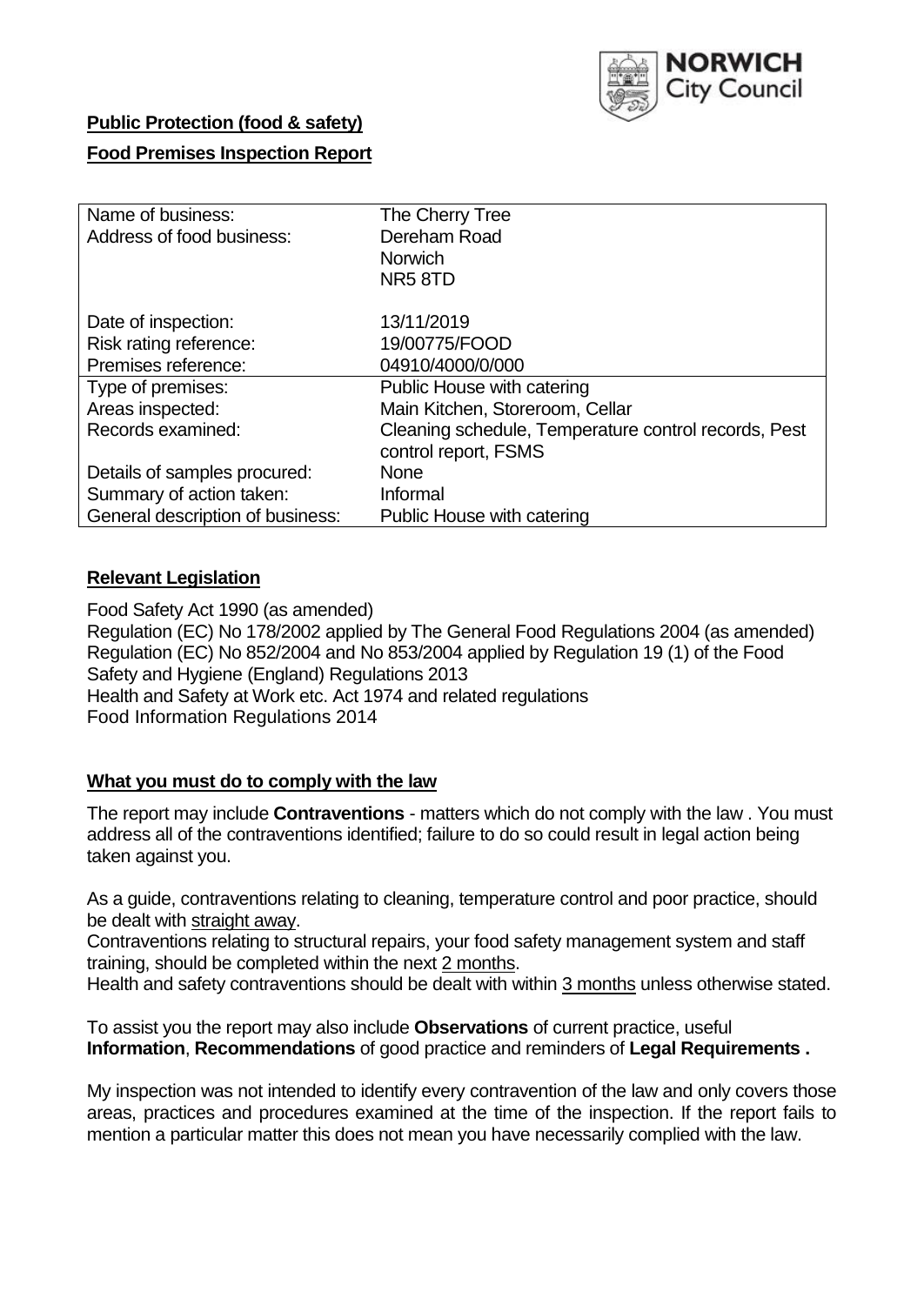

## **Public Protection (food & safety)**

## **Food Premises Inspection Report**

| Name of business:                | The Cherry Tree                                                              |
|----------------------------------|------------------------------------------------------------------------------|
| Address of food business:        | Dereham Road                                                                 |
|                                  | <b>Norwich</b>                                                               |
|                                  | NR <sub>5</sub> 8TD                                                          |
| Date of inspection:              | 13/11/2019                                                                   |
| Risk rating reference:           | 19/00775/FOOD                                                                |
| Premises reference:              | 04910/4000/0/000                                                             |
| Type of premises:                | Public House with catering                                                   |
| Areas inspected:                 | Main Kitchen, Storeroom, Cellar                                              |
| Records examined:                | Cleaning schedule, Temperature control records, Pest<br>control report, FSMS |
| Details of samples procured:     | None                                                                         |
| Summary of action taken:         | Informal                                                                     |
| General description of business: | Public House with catering                                                   |

## **Relevant Legislation**

Food Safety Act 1990 (as amended) Regulation (EC) No 178/2002 applied by The General Food Regulations 2004 (as amended) Regulation (EC) No 852/2004 and No 853/2004 applied by Regulation 19 (1) of the Food Safety and Hygiene (England) Regulations 2013 Health and Safety at Work etc. Act 1974 and related regulations Food Information Regulations 2014

## **What you must do to comply with the law**

The report may include **Contraventions** - matters which do not comply with the law . You must address all of the contraventions identified; failure to do so could result in legal action being taken against you.

As a guide, contraventions relating to cleaning, temperature control and poor practice, should be dealt with straight away.

Contraventions relating to structural repairs, your food safety management system and staff training, should be completed within the next 2 months.

Health and safety contraventions should be dealt with within 3 months unless otherwise stated.

To assist you the report may also include **Observations** of current practice, useful **Information**, **Recommendations** of good practice and reminders of **Legal Requirements .**

My inspection was not intended to identify every contravention of the law and only covers those areas, practices and procedures examined at the time of the inspection. If the report fails to mention a particular matter this does not mean you have necessarily complied with the law.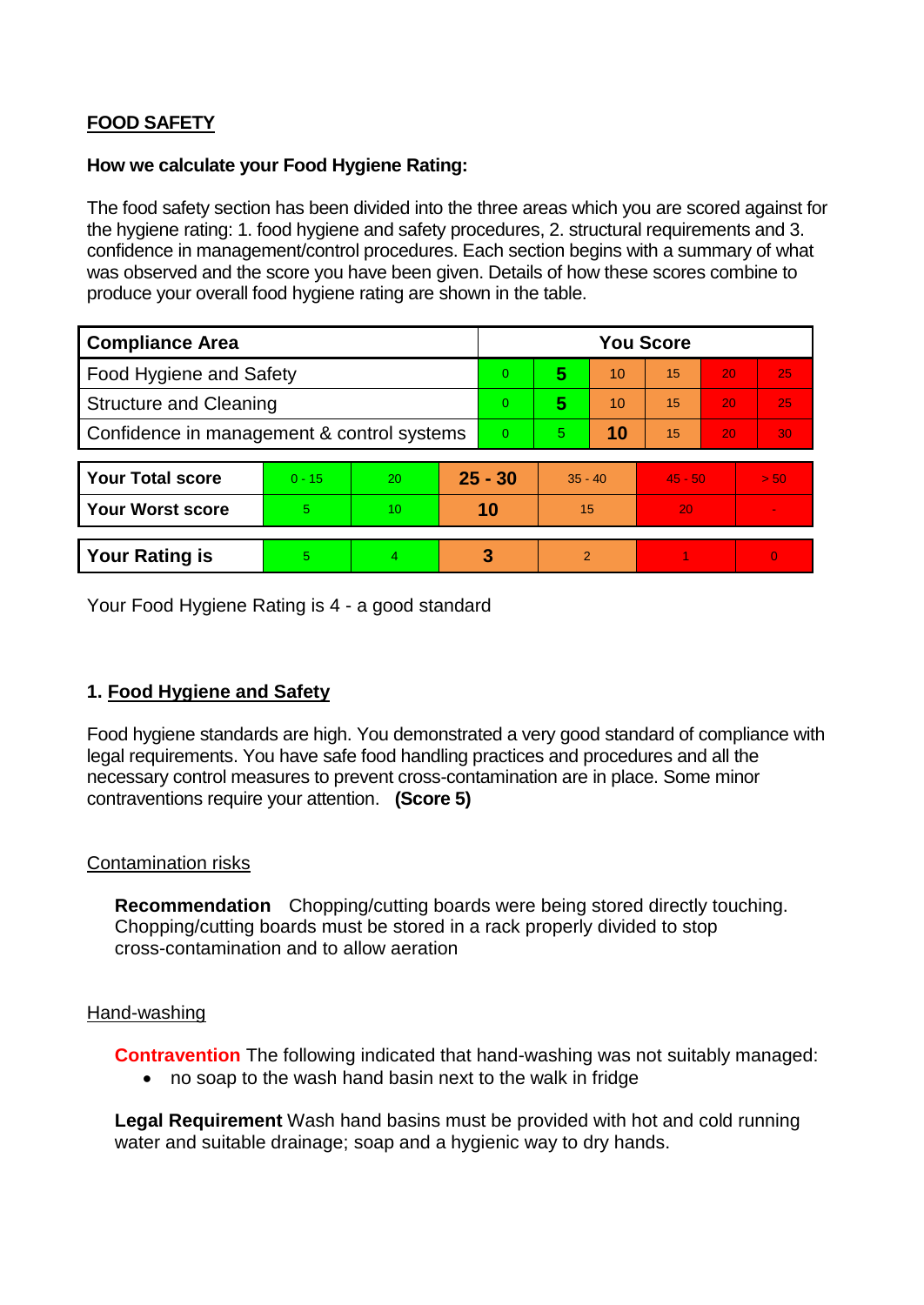# **FOOD SAFETY**

#### **How we calculate your Food Hygiene Rating:**

The food safety section has been divided into the three areas which you are scored against for the hygiene rating: 1. food hygiene and safety procedures, 2. structural requirements and 3. confidence in management/control procedures. Each section begins with a summary of what was observed and the score you have been given. Details of how these scores combine to produce your overall food hygiene rating are shown in the table.

| <b>Compliance Area</b>                     |          |    |                | <b>You Score</b> |                |    |           |    |                |  |  |
|--------------------------------------------|----------|----|----------------|------------------|----------------|----|-----------|----|----------------|--|--|
| Food Hygiene and Safety                    |          |    |                | $\overline{0}$   | 5              | 10 | 15        | 20 | 25             |  |  |
| <b>Structure and Cleaning</b>              |          |    | $\overline{0}$ | 5                | 10             | 15 | 20        | 25 |                |  |  |
| Confidence in management & control systems |          |    |                | $\Omega$         | 5              | 10 | 15        | 20 | 30             |  |  |
|                                            |          |    |                |                  |                |    |           |    |                |  |  |
| <b>Your Total score</b>                    | $0 - 15$ | 20 | $25 - 30$      |                  | $35 - 40$      |    | $45 - 50$ |    | > 50           |  |  |
| <b>Your Worst score</b>                    | 5.       | 10 | 10             |                  | 15             |    | 20        |    |                |  |  |
|                                            |          |    |                |                  |                |    |           |    |                |  |  |
| <b>Your Rating is</b>                      | 5        | 4  |                | 3                | $\overline{2}$ |    |           |    | $\overline{0}$ |  |  |

Your Food Hygiene Rating is 4 - a good standard

# **1. Food Hygiene and Safety**

Food hygiene standards are high. You demonstrated a very good standard of compliance with legal requirements. You have safe food handling practices and procedures and all the necessary control measures to prevent cross-contamination are in place. Some minor contraventions require your attention. **(Score 5)**

## Contamination risks

**Recommendation** Chopping/cutting boards were being stored directly touching. Chopping/cutting boards must be stored in a rack properly divided to stop cross-contamination and to allow aeration

#### Hand-washing

**Contravention** The following indicated that hand-washing was not suitably managed:

no soap to the wash hand basin next to the walk in fridge

**Legal Requirement** Wash hand basins must be provided with hot and cold running water and suitable drainage; soap and a hygienic way to dry hands.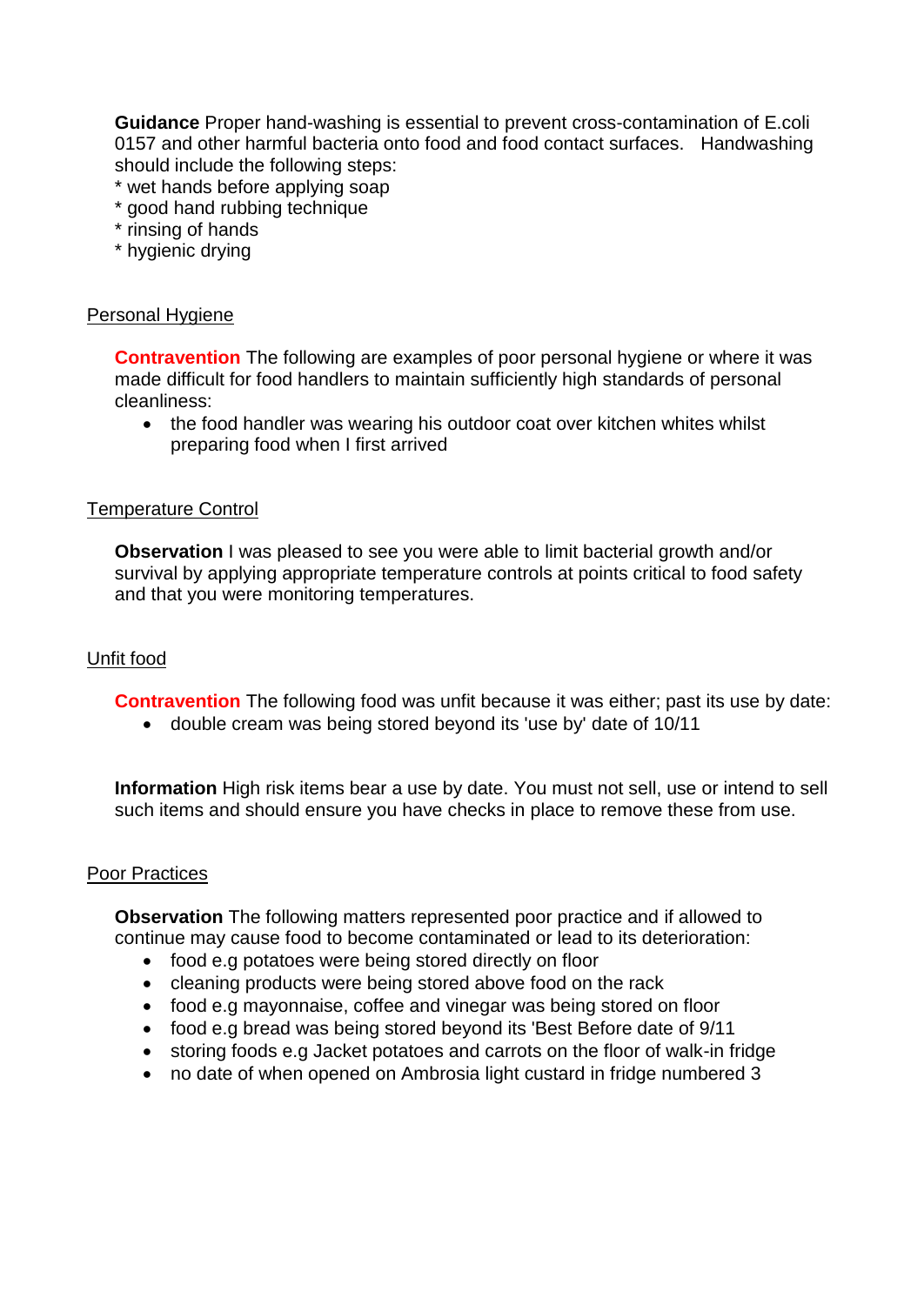**Guidance** Proper hand-washing is essential to prevent cross-contamination of E.coli 0157 and other harmful bacteria onto food and food contact surfaces. Handwashing should include the following steps:

- \* wet hands before applying soap
- \* good hand rubbing technique
- \* rinsing of hands
- \* hygienic drying

#### Personal Hygiene

**Contravention** The following are examples of poor personal hygiene or where it was made difficult for food handlers to maintain sufficiently high standards of personal cleanliness:

• the food handler was wearing his outdoor coat over kitchen whites whilst preparing food when I first arrived

#### Temperature Control

**Observation** I was pleased to see you were able to limit bacterial growth and/or survival by applying appropriate temperature controls at points critical to food safety and that you were monitoring temperatures.

#### Unfit food

**Contravention** The following food was unfit because it was either; past its use by date:

double cream was being stored beyond its 'use by' date of 10/11

**Information** High risk items bear a use by date. You must not sell, use or intend to sell such items and should ensure you have checks in place to remove these from use.

#### Poor Practices

**Observation** The following matters represented poor practice and if allowed to continue may cause food to become contaminated or lead to its deterioration:

- food e.g potatoes were being stored directly on floor
- cleaning products were being stored above food on the rack
- food e.g mayonnaise, coffee and vinegar was being stored on floor
- food e.g bread was being stored beyond its 'Best Before date of 9/11
- storing foods e.g Jacket potatoes and carrots on the floor of walk-in fridge
- no date of when opened on Ambrosia light custard in fridge numbered 3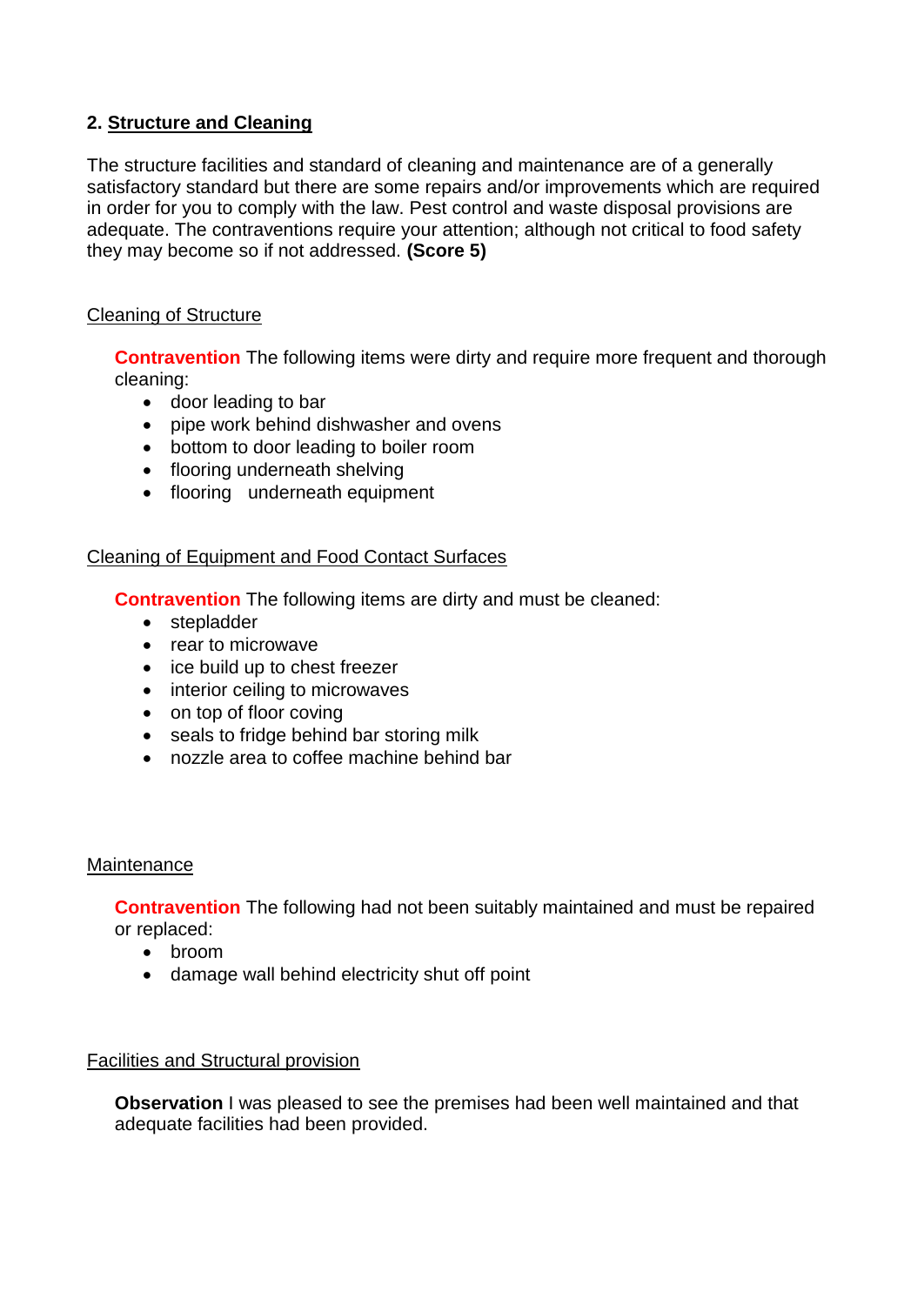# **2. Structure and Cleaning**

The structure facilities and standard of cleaning and maintenance are of a generally satisfactory standard but there are some repairs and/or improvements which are required in order for you to comply with the law. Pest control and waste disposal provisions are adequate. The contraventions require your attention; although not critical to food safety they may become so if not addressed. **(Score 5)**

## Cleaning of Structure

**Contravention** The following items were dirty and require more frequent and thorough cleaning:

- door leading to bar
- pipe work behind dishwasher and ovens
- bottom to door leading to boiler room
- flooring underneath shelving
- flooring underneath equipment

## Cleaning of Equipment and Food Contact Surfaces

**Contravention** The following items are dirty and must be cleaned:

- stepladder
- rear to microwave
- ice build up to chest freezer
- interior ceiling to microwaves
- on top of floor coving
- seals to fridge behind bar storing milk
- nozzle area to coffee machine behind bar

## **Maintenance**

**Contravention** The following had not been suitably maintained and must be repaired or replaced:

- broom
- damage wall behind electricity shut off point

## Facilities and Structural provision

**Observation** I was pleased to see the premises had been well maintained and that adequate facilities had been provided.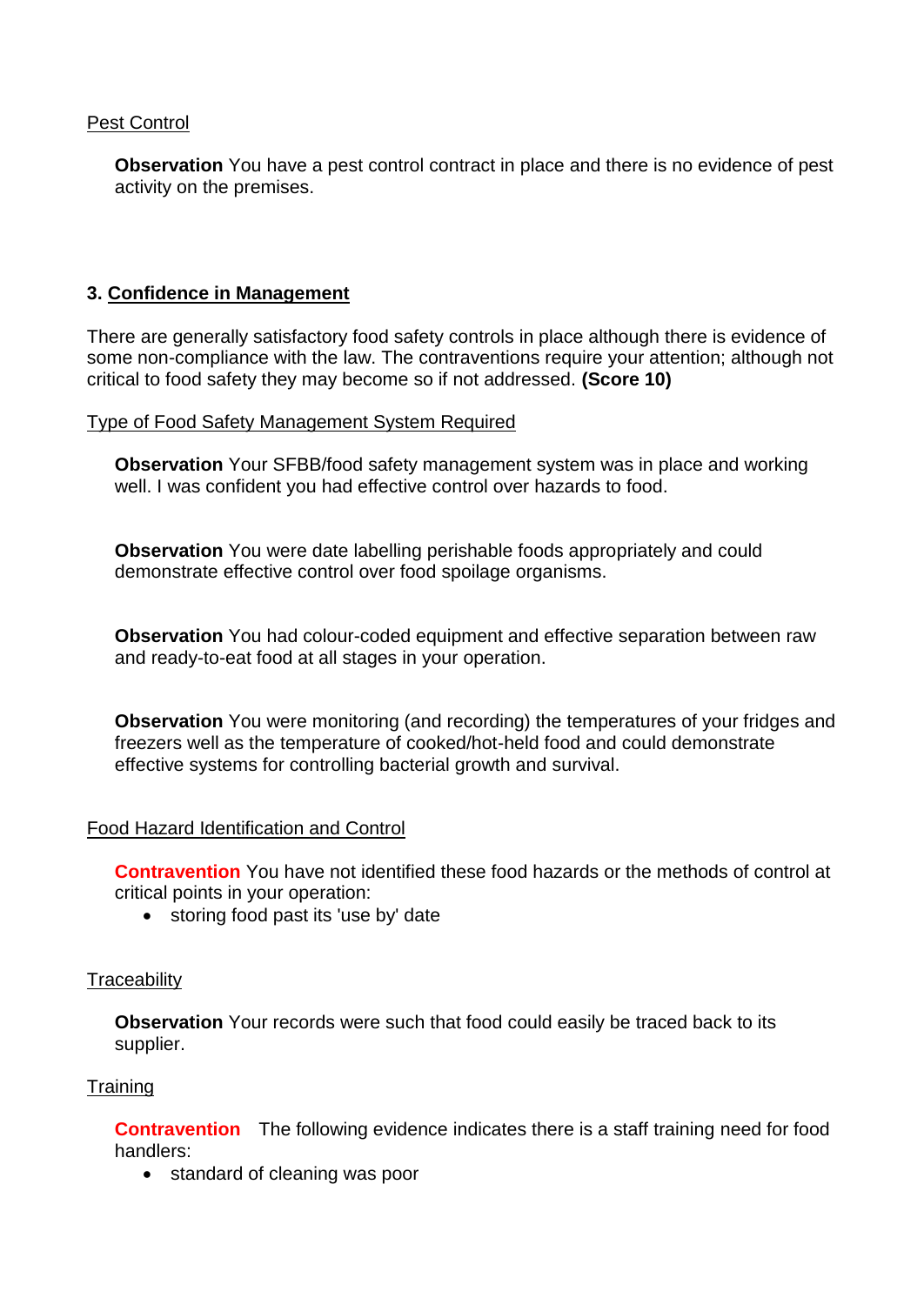## Pest Control

**Observation** You have a pest control contract in place and there is no evidence of pest activity on the premises.

# **3. Confidence in Management**

There are generally satisfactory food safety controls in place although there is evidence of some non-compliance with the law. The contraventions require your attention; although not critical to food safety they may become so if not addressed. **(Score 10)**

#### Type of Food Safety Management System Required

**Observation** Your SFBB/food safety management system was in place and working well. I was confident you had effective control over hazards to food.

**Observation** You were date labelling perishable foods appropriately and could demonstrate effective control over food spoilage organisms.

**Observation** You had colour-coded equipment and effective separation between raw and ready-to-eat food at all stages in your operation.

**Observation** You were monitoring (and recording) the temperatures of your fridges and freezers well as the temperature of cooked/hot-held food and could demonstrate effective systems for controlling bacterial growth and survival.

## Food Hazard Identification and Control

**Contravention** You have not identified these food hazards or the methods of control at critical points in your operation:

• storing food past its 'use by' date

## **Traceability**

**Observation** Your records were such that food could easily be traced back to its supplier.

## **Training**

**Contravention** The following evidence indicates there is a staff training need for food handlers:

• standard of cleaning was poor